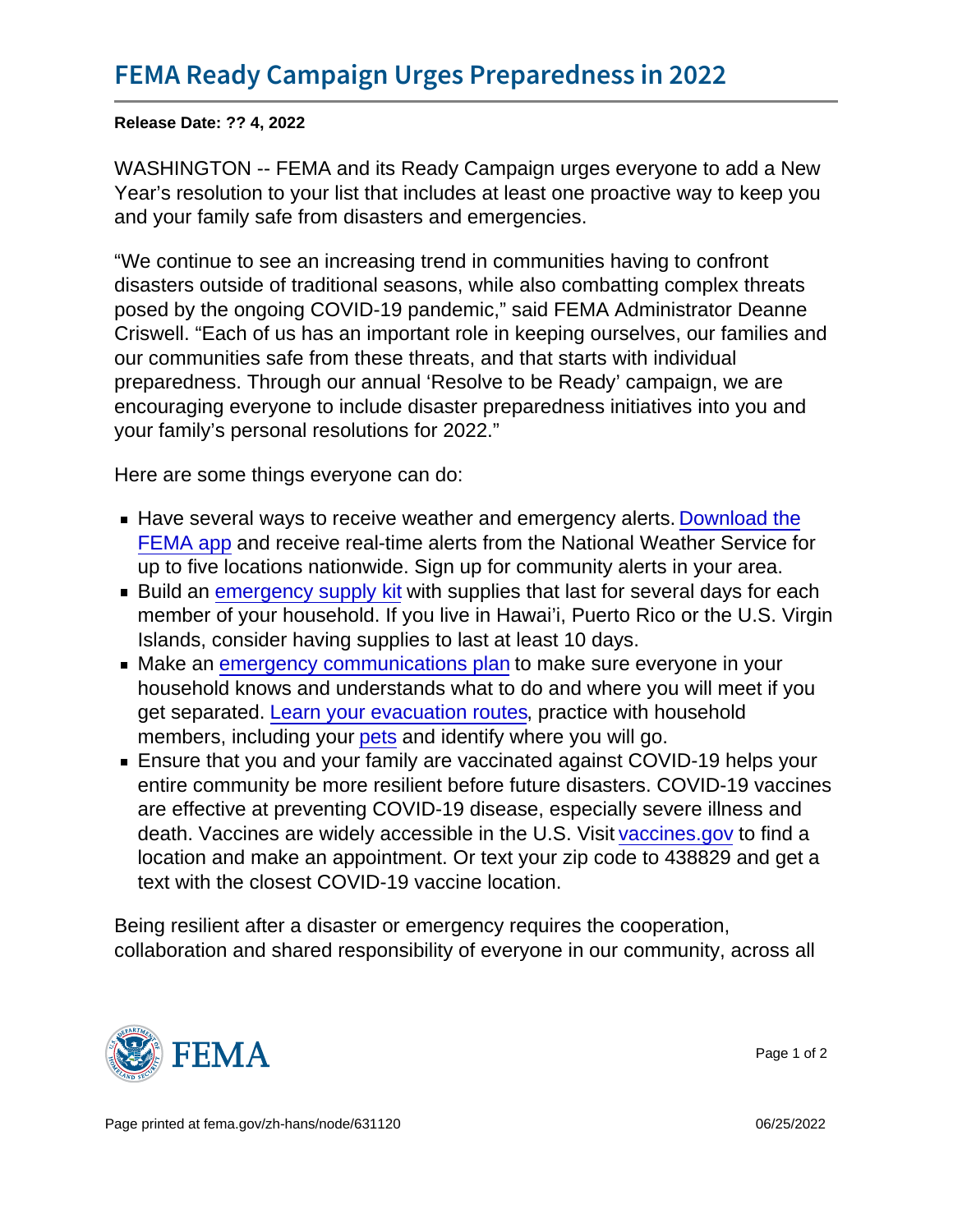Release Date: ?? 4, 2022

WASHINGTON -- FEMA and its Ready Campaign urges everyone to add a New Year's resolution to your list that includes at least one proactive way to keep you and your family safe from disasters and emergencies.

"We continue to see an increasing trend in communities having to confront disasters outside of traditional seasons, while also combatting complex threats posed by the ongoing COVID-19 pandemic," said FEMA Administrator Deanne Criswell. "Each of us has an important role in keeping ourselves, our families and our communities safe from these threats, and that starts with individual preparedness. Through our annual 'Resolve to be Ready' campaign, we are encouraging everyone to include disaster preparedness initiatives into you and your family's personal resolutions for 2022."

Here are some things everyone can do:

- Have several ways to receive weather and emergency alerts. [Download the](https://www.fema.gov/about/news-multimedia/mobile-app-text-messages) [FEMA app](https://www.fema.gov/about/news-multimedia/mobile-app-text-messages) and receive real-time alerts from the National Weather Service for up to five locations nationwide. Sign up for community alerts in your area.
- **Build an [emergency supply kit](https://www.ready.gov/kit) with supplies that last for several days for each** member of your household. If you live in Hawai'i, Puerto Rico or the U.S. Virgin Islands, consider having supplies to last at least 10 days.
- Make an [emergency communications plan](https://www.ready.gov/plan) to make sure everyone in your household knows and understands what to do and where you will meet if you get separated. [Learn your evacuation routes,](https://www.ready.gov/evacuation) practice with household members, including your [pets](https://www.ready.gov/pets) and identify where you will go.
- Ensure that you and your family are vaccinated against COVID-19 helps your entire community be more resilient before future disasters. COVID-19 vaccines are effective at preventing COVID-19 disease, especially severe illness and death. Vaccines are widely accessible in the U.S. Visit [vaccines.gov](https://www.vaccines.gov/) to find a location and make an appointment. Or text your zip code to 438829 and get a text with the closest COVID-19 vaccine location.

Being resilient after a disaster or emergency requires the cooperation, collaboration and shared responsibility of everyone in our community, across all



Page 1 of 2

Page printed at [fema.gov/zh-hans/node/631120](https://www.fema.gov/zh-hans/node/631120) **Details and the set of the set of the set of the set of the set of the set of the set of the set of the set of the set of the set of the set of the set of the set of the set of**